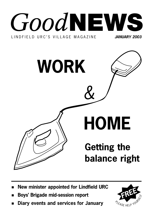



# **Getting the balance right**

- **New minister appointed for Lindfield URC**
- **Boys' Brigade mid-session report**
- **Diary events and services for January**

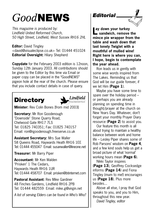# *Good***NEWS**

*This magazine is produced by: Lindfield United Reformed Church, 50 High Street, Lindfield, West Sussex RH16 2HL*

**Editor:** David Tingley <david@visualeclipse.co.uk> Tel: 01444 451024 **Editorial Oversight:** Hilary Shepherd

**Copydate** for the February 2003 edition is 12noon, Sunday 12th January 2003. All contributions should be given to the Editor by this time via Email or paper copy can be placed in the "GoodNEWS" pigeon hole at the rear of the church. Please ensure that you include contact details in case of query.

### **Directory**



**Minister:** Rev Colin Bones [from mid 2003]

**Secretary:** Mr Ron Goodenough "Downside" Stone Quarry Road, Chelwood Gate RH17 7LS Tel: 01825 740351; Fax: 01825 740157 Email: ron@rgoodenough.freeserve.co.uk

**Assistant Secretary:** Mrs Sue Waller 58 Queens Road, Haywards Heath RH16 1EE Tel: 01444 455047 Email: susanwaller@lineone.net

**Treasurer:** Mr Barry Piper

**Accountant:** Mr Ken Walden "Prisken" 1 The Cedars, Haywards Heath RH16 1UR Tel: 01444 458707 Email: prisken@btinternet.com

**Pastoral Assistant:** Rev Mike Gardiner 48 Finches Gardens, Lindfield RH16 2PB Tel: 01444 482559 Email: mike.g@virgin.net

*A list of serving Elders can be found in Who's Who?*

#### *Editorial*



**L ay down your turkey sandwich, remove the mince pie wrapper from the table and wash down that last lonely Twiglet with a mouthful of mulled wine! Right here is where you can, I hope, begin to contemplate the year ahead.** 

Ron leads us in gently with some wise words inspired from The Lakes. Reminding us that God will be our guide forever, if we let Him (**Page 1**).

Maybe you have some time to spare over the holiday period – or perhaps you are already planning on spending time in thought/prayer at the church on New Years Day. Whatever, don't forget your monthly Prayer Diary resource (**Page 2**) to assist you.

Our feature this month is all about trying to maintain a healthy balance between work and home life – Lesley Piper shares some of Rob Parsons' wisdom on **Page 4**, and a few kind souls help us get a broad picture of what 'normal' working hours mean (**Page 6**).

Nikki Taylor inspires (**Page 13**), Geoffrey Cocksedge informs (**Page 14**) and Fiona Tingley (mum to me!) encourages us (**Page 18**). Plus more besides...

Above all else, I pray that God speaks to you, and you to Him, throughout this new year. *David Tingley, editor*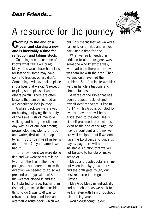## A resource for the journey

#### **Coming to the end of a year and starting a new one is inevitably a time for reflection and taking stock.**

One thing is certain; none of us knows what 2003 will bring. Many of us would have had plans for last year, some may have come to fruition, others didn't. Some things will have taken place in our lives that we didn't expect or plan, some pleasant and others painful. There are often lessons that can be learned as we experience life's journey.

A while back we were away on holiday, enjoying the beauty of the Lake District. We love walking and had gone off one day with all of our equipment; proper clothing, plenty of food and water, first aid kit, map (which I do pride myself in being able to read!) – you name it we had it!

For a few hours we were doing fine and we were only a mile or two from the finish. Then the path just disappeared. I knew the direction we needed to go so we pressed on – typical man! Soon the weather closed in and the light started to fade. Rather than risk being rescued the sensible thing to do (I was told) was to retrace our steps and take an alternative route back, which we

did. This meant that we walked a further 5 or 6 miles and arrived back just in time for bed.

What we really needed in addition to all of our gear, was someone who knew the way, who had been there before, who was familiar with the area. Then we wouldn't have had the problem. So often in life we think we can handle situations and circumstances.

A verse of the Bible that has been precious to Janet and myself over the years is Psalm 48:14 – 'This God is our God for ever and ever; he will be our guide even to the end'. Jesus himself promised to be with us 'even to the end of the age'. We may be confident and think we are well equipped but if we don't have the Lord Jesus to guide us day by day there will be the inevitable situation that we will not be able to handle or make sense of.

Maps and guidebooks are fine but when the sky grows dark and the path gets rough, our best resource is the guide Himself.

May God bless us individually and as a church as we seek to walk in step with Him throughout this coming year.

*Ron Goodenough, elder*

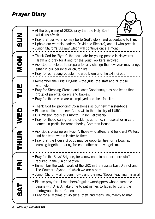|                                | Prayer Diary                                                                                                                                                                                                                                                                                                           |
|--------------------------------|------------------------------------------------------------------------------------------------------------------------------------------------------------------------------------------------------------------------------------------------------------------------------------------------------------------------|
|                                |                                                                                                                                                                                                                                                                                                                        |
| $rac{2}{5}$                    | • At the beginning of 2003, pray that the Holy Spirit<br>will fill us afresh.<br>• Pray that our worship may be to God's glory, and acceptable to Him.<br>• Uphold our worship leaders (David and Richard), and all who preach.<br>• Junior Church's 'Jigsaw' which will continue once a month.                        |
| NON<br>NON                     | • Thank God for 'Bytes', the new cafe for young people in Haywards<br>Heath and pray for it and for the youth workers involved.<br>• Ask God to help us to prepare for any change the new year may bring,<br>either in our personal or church life.<br>• Pray for our young people in Carpe Diem and the 14+ Group.    |
| EN                             | • Remember the Girls' Brigade – the girls, the staff and all those<br>who help.<br>• Pray for Stepping Stones and Janet Goodenough as she leads that<br>group of parents, carers and babies.<br>• Pray for those who are unemployed and their families.                                                                |
| WED                            | • Thank God for providing Colin Bones as our new minister-to-be.<br>• Please continue to seek God's will in the ministry of LURC.<br>• Our mission focus this month, Prison Fellowship.<br>• Pray for those caring for the elderly, at home, in hospital or in care<br>homes; in particular remembering Compton House. |
| THUR                           | • Ask God's blessing on 'Pop-in'; those who attend and for Carol Walters<br>and her team who minister to them.<br>• Pray that the House Groups may be opportunities for fellowship,<br>learning together, caring for each other and evangelism.                                                                        |
| $\bf \overline{\widetilde{K}}$ | • Pray for the Boys' Brigade, for a new captain and for more staff<br>required in the Junior Section.<br>• Remember the wider work of the URC in the Sussex East District and<br>The Southern Synod, of which we are a part.<br>Junior Church - all groups now using the new 'Roots' teaching material.                |
| こくの                            | • Please pray for all members/regular worshippers whose surname<br>begins with A & B. Take time to put names to faces by using the<br>photographs in the Concourse.<br>• Pray for all victims of violence, theft and mans' inhumanity to man.                                                                          |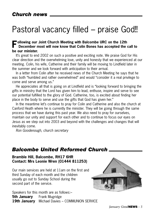## Pastoral vacancy filled – praise God!!

#### **Following our Joint Church Meeting with Balcombe URC on the 12th December most will now know that Colin Bones has accepted the call to be our minister.**

It's great to end 2002 on such a positive and exciting note. We praise God for His clear direction and the overwhelming love, unity and honesty that we experienced at our meeting. Colin, his wife, Catherine and their family will be moving to Lindfield later in the summer and we look forward with anticipation to their arrival.

In a letter from Colin after he received news of the Church Meeting he says that he was both "humbled and rather overwhelmed" and would "consider it a real privilege to come and serve among us."

He appreciates all that is going on at Lindfield and is "looking forward to bringing the gifts in ministry that the Lord has given him to lead, enthuse, inspire and serve to see our potential fulfilled to the glory of God. Catherine, too, is excited about finding her place in the body to serve and use the gifts that God has given her."

In the meantime let's continue to pray for Colin and Catherine and also the church at Canford Heath where he is currently the minister. They will be going through the same process that we have during this past year. We also need to pray for ourselves, maintain our unity and support for each other and to continue to focus our eyes on Jesus as we step out into 2003 and beyond with the challenges and changes that will inevitably come.

*Ron Goodenough, church secretary*

#### *Balcombe United Reformed Church*

**Bramble Hill, Balcombe, RH17 6HR Contact: Mrs Leonie Wren (01444 811253)**

Our main services are held at 11am on the first and third Sunday of each month and the children usually go out to Sunday School during the second part of the service.



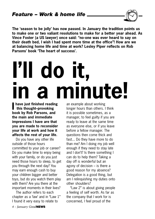**The 'season to be jolly' has now passed. In January the tradition points us to make one or two valiant resolutions to make for a better year ahead. As Vince Foster (a US lawyer) once said: "no-one was ever heard to say on their death bed, I wish I had spent more time at the office"! How are we at balancing home life and time at work? Lesley Piper reflects on Rob Parsons' book 'The heart of success'.** 

# **I'll do it, in a minute!**

**I** have just finished readi<br>this thought–provoking **have just finished reading book by Rob Parsons, and the main and immediate impressions I have are that you are made to reconsider your life at work and how it affects the rest of your life.** 

Do you have any other life outside of those hours committed to your job or career? Do you make time to enjoy being with your family, or do you just need those hours to sleep, to get you through the next day? You may earn enough cash to buy your children bigger and better toys, but do you watch them play with them? Are you there at the important moments in their lives?

The author refers to each chapter as a 'law' and in "Law 1" I found it very easy to relate to

an example about working longer hours than others. I think it is possible sometimes, as a manager, to feel guilty if you are ready to leave at the same time as everyone else, or if you leave before a fellow manager. The questions then come thick and fast... Do they have more to do than me? Am I doing my job well enough if they need to stay late and I don't? Is there something I can do to help them? Taking a day off is wonderful but an agony of decision – is there a good reason for my absence? Delegation is a good thing, but am I relinquishing my duties onto other shoulders?

"Law 2" is about giving people a feeling of self worth. As far as the company that I work for is concerned, I feel proud of the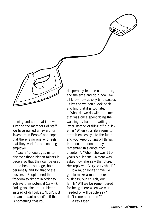training and care that is now given to the members of staff. We have gained an award for 'Investors in People' and hope that there is no one who feels that they work for an uncaring employer.

"Law 3" encourages us to discover those hidden talents in people so that they can be used to the best advantage, both personally and for that of the business. People need the freedom to dream in order to achieve their potential (Law 4), finding solutions to problems instead of difficulties. "Don't just dream – plant a seed" – if there is something that you

desperately feel the need to do, find the time and do it now. We all know how quickly time passes us by and we could look back and find that it is too late.

What do we do with the time that was once spent doing the washing by hand, or writing a letter instead of firing off a quick email? When your life seems to stretch endlessly into the future and you keep putting off things that could be done today, remember this quote from chapter 7. "When she was 115 years old Jeanne Calment was asked how she saw the future. Her reply was 'very, very short'."

How much longer have we got to make a mark in our business, our church, our family? Will we be remembered for being there when we were needed or will people say "I don't remember them"? *Lesley Piper*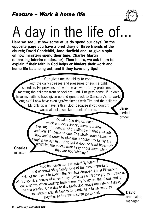#### *Feature – Work & home life*

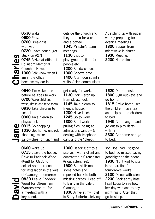| 0530 Wake.<br><b>0600 Pray.</b> | outside the church and<br>they drop in for a chat | $\overline{\phantom{a}}$ catching up with paper<br>work / preparing for |
|---------------------------------|---------------------------------------------------|-------------------------------------------------------------------------|
| <b>0700</b> Breakfast           | and a coffee.                                     | evening meetings.                                                       |
| with wife.                      | 1045 Minister's team                              | 1800 Supper from                                                        |
| <b>0720</b> Leave house, get    | meetings.                                         | microwave in church.                                                    |
| stuck on A27!                   | <b>1130 Visit to</b>                              | <b>1930</b> Meeting.                                                    |
| 0745 Arrive at office at        | play-groups / time for                            | 2200 Home time.                                                         |
| Hounsom Memorial                | people etc.                                       |                                                                         |
| Church in Hove.                 | 1200 Sandwich lunch.                              |                                                                         |
| 1000 Folk know when I           | 1300 Snooze time.                                 |                                                                         |
| $\mathbf{I}$ am in the office,  | 1400 Afternoon spent in                           |                                                                         |
| because my car is               | visits / sick communions                          |                                                                         |
|                                 |                                                   |                                                                         |

**0640** Tim wakes me before he goes to work. **0700** Wake children, wash, dress and feed them. **0830** Take children to school. **0900** Take Kieron to playschool. **0915** Go shopping.<br> **1030** Get home, un<br> **S** shopping, make<br> **S** sandwiches for luncle **1030** Get home, unpack shopping, make sandwiches for lunch and get ready for work. **1130** Pick Kieron up from playschool. **1145** Take Kieron to friend's house. **1200** Have lunch. **1245** Go to work. **1300** Start work – pulling files, being at admissions window & dealing with telephone calls and the ''bleep'. **1620** Do the post. **1800** Sign out keys and go home. **1815** Arrive home, see the children, have tea and help put the children to bed. **1945** Get changed and go out to play darts with Tim. **2330** Get home and go to bed.

**0600** Wake up. **0715** Leave the house. Drive to Paddock Wood (Kent) for 0815 to collect some products for installation in the Vale of Glamorgan tomorrow. **0830** Leave Paddock Wood for Strensham (Worcestershire) for a meeting with a key client.

**David**

**1300** Heading off to a site visit with a client and contractor in Cirencester (Gloucestershire). **1500** Site visit: made some notes and reported back to both missing parties. Head off to Barry in the Vale of Glamorgan. **1830** Arrive at my hotel

in Barry. Unfortunately my

son, Joe, had just gone to bed, so missed saying goodnight on the phone. **1930** Night visit to site in preparation for tomorrow's works. **2100** Dinner with client. **2230** Back at my hotel. I call Lydia to see how her day was and to say night night. After that I go to sleep.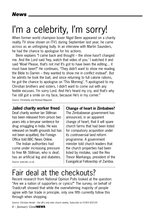# I'm a celebrity, I'm sorry!

When former world champion boxer Nigel Benn appeared on a charity reality TV show shown on ITV1 during September last year, he came across as an unforgiving bully. In an interview with Martin Saunders, he had the chance to apologise for his actions.

Benn explains "I came back and thought – the show hasn't changed me. And the Lord said 'hey, watch that video of you.' I watched it and said 'Wow! Please, that's not me! It's got to have been the editing... it must have been'!" He continues, "They didn't want to show me reading the Bible to Darren – they wanted to show me in conflict instead". But he admits he took the bait, and since returning to full calorie rations, he got the chance to apologise on 'This Morning'. "I apologised to my Christian brothers and sisters, I didn't want to come out with any feeble excuses. I'm sorry Lord. And He's heard my cry, and that's why I've still got a smile on my face, because He's in my corner."

Source: Christianity and Renewal Magazine

#### **Jailed charity worker freed**

Deaf charity worker Ian Stillman has been released from prison two years into a ten-year sentence for drug smuggling in India. He was released on health grounds but has not been acquitted, the Foreign Office told BBC News Online.

The Indian authorities had come under increasing pressure to free Mr Stillman, who is deaf, has an artificial leg and diabetes.

Source: www.bbc.co.uk

#### **Change of heart in Zimbabwe?**

The Zimbabwean government has announced, in an apparent change of heart, that it will spare church farms that had been listed for compulsory acquisition under its controversial land reform programme. A government minister told church leaders that the church properties had been listed by mistake, said the Rev Trevor Manhanga, president of the Evangelical Fellowship of Zambia.

### Fair deal at the checkouts?

Recent research from National Opinion Polls looked at the question: "Are we a nation of supporters or cynics?" The survey, on behalf of Traidcraft showed that while the overwhelming majority of people agree with fair trade in principle, only one fifth currently follow this through when shopping.

Source: Christian Herald – the UK's only inter–church weekly. Subscribe on 01903 602100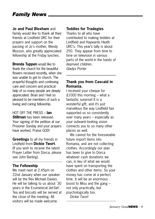#### **Jo and Paul Bloxham** and

family would like to thank all their friends at Lindfield URC for their prayers and support on the passing of Jo's mother, Wendy Musson, who greatly appreciated fellowship at the Friday lunches.

**Brenda Tuppen** would like to thank the church for the beautiful flowers received recently, when she was unable to get to church. The prayerful thoughts and continuing care and concern and practical help of so many people are deeply appreciated. Brian and I feel so pleased to be members of such a loving and caring fellowship.

HOT OFF THE PRESS – **Ian Stillman** has been released. Your signing of the petition at our Prisioner Sunday and your prayers have worked. Praise GOD!

**Greetings** to all my friends in Lindfield from **Dickie Twort**. (If you wish to receive the latest Prayer Letter from Dorca, please see John Barling).

#### **The Fellowship**

We meet next at 2.45pm on 22nd January when our speaker will be the Rev Michael Davies. He will be talking to us about '30 years in the Ecumenical Jet-Set'. Tea and biscuits will be served at the close of the meeting. All visitors will be made welcome.

#### **Teddies for Tradegies**

Thanks to all who have contributed to making teddies at Lindfield and Haywards Heath URC's. This year's tally is about 250. They appear from time to time on television in various parts of the world in the hands of deprived children. *Gladys Porter*

#### **Thank you from Cascaid in Romania.**

I received your cheque for £1000 this morning – what a fantastic surprise! It is a wonderful gift, and it's just marvellous the way Lindfield has supported us so consistently over many years – especially as your outward–looking vision connects you to so many other places as well.

We cannot for the foreseeable future import items into Romania, and are not collecting clothes. Accordingly our plan has been to give to Dorca whatever cash donations we can, in lieu of what we would have spent on transporting the clothes and other items. So your money has come at a perfect time. It will be an enormous boost to Misu and the gang – not only practically, but psychologically too. *Dickie Twort*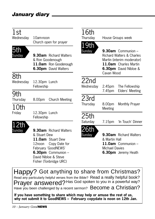| 1st<br>Wednesday | 10am-noon<br>Church open for prayer                                                                                                                                                          | 16th<br>Thursday              | House Groups week                      |                                                                                                                                               |
|------------------|----------------------------------------------------------------------------------------------------------------------------------------------------------------------------------------------|-------------------------------|----------------------------------------|-----------------------------------------------------------------------------------------------------------------------------------------------|
| bth<br>Sunday    | <b>9.30am</b> Richard Walters<br>& Ron Goodenough<br>11.0am Ron Goodenough<br><b>6.30pm</b> David Walters                                                                                    | .9th<br>Sunday                | Cavan Wood                             | $9.30$ am Communion –<br><b>Richard Walters &amp; Charles</b><br>Martin (interim moderator)<br>11.0am Charles Martin<br>6.30pm David Nibloe & |
| 8th<br>Wednesday | 12.30pm Lunch<br>Fellowship                                                                                                                                                                  | 22 <sub>nd</sub><br>Wednesday | 2.45pm<br>7.45pm                       | The Fellowship<br>Elders' Meeting                                                                                                             |
| 9th<br>Thursday  | <b>Church Meeting</b><br>8.00pm                                                                                                                                                              | 23rd                          |                                        |                                                                                                                                               |
| 10th<br>Friday   | 12.30pm Lunch                                                                                                                                                                                | Thursday                      | 8.00pm<br>Meeting                      | <b>Monthly Prayer</b>                                                                                                                         |
| .2th             | Fellowship                                                                                                                                                                                   | 25 <sub>th</sub><br>Saturday  | 7.15 <sub>pm</sub>                     | 'In Touch' Dinner                                                                                                                             |
| Sunday           | <b>9.30am</b> Richard Walters<br>& Stuart Dew<br>11.0am Stuart Dew<br>12noon<br>Copy Date for<br>February 'GoodNEWS'<br>6.30pm Communion -<br>David Nibloe & Steve<br>Fisher (Tonbridge URC) | 26th<br>Sunday                | & Martin Hall<br><b>Michael Davies</b> | <b>9.30am</b> Richard Walters<br>11.0am Communion -<br>6.30pm Jeremy Heath                                                                    |

Happy? Got anything to share from Christmas? Prayer answered? Has God spoken to you in a powerful way?<br>Have you been challenged by a recent sermon? Become a Christian? Read any particularly helpful verses from the Bible? Read a really helpful book? Have you been challenged by a recent sermon? Become a Christian?

**If you have something to share which may help or amuse the rest of us, why not submit it to GoodNEWS – February copydate is noon on 12th Jan.**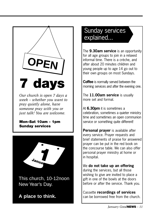

*Our church is open 7 days a week – whether you want to pray quietly alone, have someone pray with you or just talk! You are welcome.*

#### **Mon–Sat 10am - 1pm Sunday services**



This church, 10-12noon New Year's Day.

**A place to think.**

### Sunday services explained...

The **9.30am service** is an opportunity for all age groups to join in a relaxed informal time. There is a crèche, and after about 20 minutes children and young people up to age 14 go out to their own groups on most Sundays.

**Coffee** is normally served between the morning services and after the evening one.

The **11.00am service** is usually more set and formal.

At **6.30pm** it is sometimes a celebration, sometimes a quieter ministry time and sometimes an open communion service or something quite different!

**Personal prayer** is available after every service. Prayer requests and brief statements of praise for answered prayer can be put in the red book on the concourse table. We can also offer personal prayer ministry at home or in hospital.

#### We **do not take up an offering** during the services, but all those wishing to give are invited to place a gift in one of the bowls at the doors before or after the service. Thank you.

Cassette **recordings of services** can be borrowed free from the church.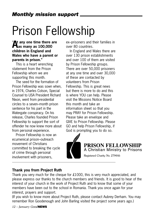# Prison Fellowship

**At any one time there are as many as 100,000 children in England and Wales who have a parent or parents in prison."** "

This is a heart wrenching statement from the Prison Fellowship whom we are supporting this month.

The seed for the formation of Prison Fellowship was sown when, in 1974, Charles Colson, Special Counsel to USA President Richard Nixon, went from presidential circles to a seven–month prison sentence for his part in the Watergate conspiracy. On his release, Charles founded Prison Fellowship to support the sort of offender he now knew more about from personal experience.

Prison Fellowship is now an ecumenical prison–outreach movement of Christians committed to breaking the cycle of crime through personal involvement with prisoners,

ex–prisoners and their families in over 80 countries.

In England and Wales there are over 130 prison establishments and over 100 of them are visited by Prison Fellowship groups. There are over 50,000 prisoners at any one time and over 30,000 of these are contacted by volunteers from Prison Fellowship. This is great news but there is more to do and this is where YOU can help. Please visit the Missions Notice Board this month and take an information sheet so that you may PRAY for Prison Fellowship. Please take an envelope and GIVE to Prison Fellowship. Please GO and help Prison Fellowship, if God is prompting you to do so.



**PRISON FELLOWSHIP** A Christian Ministry to Prisons

Registered Charity No. 279446

#### **Thank you from Project Ruth**

Thank you very much for the cheque for £1000, this is very much appreciated, and please express our thanks to the church members and friends. It is good to hear of the interest of your church in the work of Project Ruth and to know that some of your members have been out to the school in Romania. Thank you once again for your interest, prayers and support.

(If you wish to know more about Project Ruth, please contact Aubrey Derham. You may remember Ron Goodenough and John Barling visited the project some years ago.)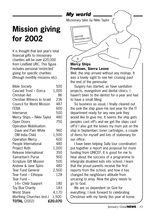*My world*

taylorn@ mercyships.org

Missionary tales by Nikki Taylor

### **Mission giving for 2002**

It is thought that last year's total financial gifts to missionary charities will be over £20,000 from Lindfield URC. This figure includes personal 'restricted' giving for specific charities (through monthly missions etc).

| <b>Bible Society</b>             | 500     |
|----------------------------------|---------|
| Cascaid Trust - Dorca            | 1,000   |
| Christian Aid                    | 86      |
| Christian Witness to Israel      | 236     |
| <b>Council for World Mission</b> | 487     |
| FEBA                             | 600     |
| Interserve                       | 500     |
| Mercy Ships - Nikki Taylor       | 480     |
| Open Doors                       | 750     |
| Operation Mobilisation:          |         |
| Dave and Pam White               | 960     |
| <b>OM India Child</b>            | 1,500   |
| <b>Operation Mercy</b>           | 600     |
| People International             | 480     |
| Project Ruth                     | 1,000   |
| Release International            | 350     |
| Samaritan's Purse                | 900     |
| Scripture Gift Mission           | 500     |
| Andrew & Jane Spiro              | 480     |
| <b>Tear Fund General</b>         | 2,500   |
| Tear Fund - Ethiopia             | 128     |
| Tear Fund -                      |         |
| 14+ Child Support                | 180     |
| Toy Box Charity                  | 183     |
| <b>World Share</b>               | 4,170   |
| Worthing Churches (est.)         | 1,500   |
| <b>TOTAL (2002)</b>              | £20,070 |

#### **Mercy Ships Freetown, Sierra Leone**

Well, the ship arrived without any mishap. It was a lovely sight to see her cruising past the end of the peninsular.

Surgery has started, as have sanitation projects, evangelism and dental clinics. I haven't been to the dentist for a year and had to have a small filling.

So business as usual, I finally cleared out the junk the ship gave me last year for the IT department ready for any new junk they would like to give me. It seems the ship gets peoples cast off's and we get the ships cast off's! I also got the boxes my mum put on the ship in September; toner cartridges, a couple of items for myself and lots of stationary for our office.

I have been helping Sally (our coordinator) put together a report and proposal for more funding from UNICEF. It is good for me to hear about the success of a programme to intergrate disabled kids into school. I learn that the proud parents receive the first reports from the school, and how it has changed the neighbours attitude from uncaring to envy. Now the glory needs to go to God.

We are so dependent on God for everything. I look forward to celebrating Christmas with my family this year at home.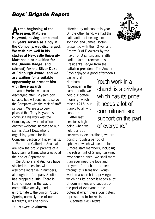**At the beginning of the Session, Matthew Heyward, having completed 12 years service as a boy in the Company, was discharged. We wish him well in his studies at Newcastle University. Matt has also qualified for the Queens Badge, and (almost) for the Silver Duke of Edinburgh Award, and we are waiting for a suitable opportunity to present him with these awards.**

James Horton was also discharged after 12 years boy service, but will continue to serve the Company with the rank of staff sergeant. We are also very pleased that Terry Heyward is continuing his work with the Company as a warrant officer. Another welcome increase to our staff is Stuart Dew, who is organising games for the Company Section on Friday nights.

Peter and Catherine Snashall are now the proud parents of a baby son, William, who arrived at the end of September.

Our Juniors and Anchors have started the session with a welcome increase in numbers, although the Company Section has dropped a little. There is little to report in the way of competitive activity, and, unfortunately, the Junior Potted Sports, normally one of our highlights, was seriously

affected by mishaps this year. On the other hand, we had the satisfaction of seeing Jim Johnson and James Horton presented with their Silver and Bronze D of E Awards by the mayor of Brighton, and a little earlier, James received his President's Badge from the battalion president. The Anchor Boys enjoyed a good afternoon's

partying at Horsham in November. In the same month, we held our coffee morning, which raised £215; our thanks to all who supported.

After last session's high point, when we held our 30th

anniversary celebrations, we are going through a period of upheaval, which will see us lose 3 more staff members, including the retirement of 2 long–serving, experienced ones. We shall more than ever need the love and prayers of the church to see us through this transition. Youth work in a church is a privilege which has its price: it needs a lot of commitment and support on the part of everyone if the potential which these youngsters represent is to be realised. *Geoffrey Cocksedge* 



"Youth work in a church is a privilege which has its price: it needs a lot of commitment and support on the part of everyone."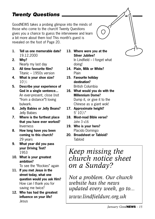#### *Twenty Questions*

GoodNEWS takes a probing glimpse into the minds of those who come to the church! Twenty Questions gives you a chance to guess the interviewee and learn a bit more about them too! This month's guest is revealed on the foot of Page 20.

- **1. Tell us one memorable date?** 19.12.2000
- **2. Why?** Nearly my last day
- **3. All time favourite film?** Titanic – 1950s version
- **4. What is your shoe size?**  $10^{1/2}$
- **5. Describe your experience of God in a single sentence...** An ever-present, close (not "from a distance"!) loving bulwark.
- **6. Jelly Babies or Jelly Beans?** Jelly Babies
- **7. Where is the furthest place that you have ever worked?** Inverness
- **8. How long have you been coming to this church?** 29 years
- **9. What year did you pass your Driving Test?** 1953
- **10. What is your greatest ambition?**
	- To see the "Rockies" again
- **11. If you met Jesus in the street today, what one question would you ask Him?** How can I thank you for saving me twice?
- **12. Who has had the greatest influence on your life?** Jesus
- **13. Where were you at the Silver Jubilee?** In Lindfield – I forget what doing!
- **14. Plain, Milk or White?** Plain
- **15. Favourite holiday destination?**

British Columbia

- **16. What would you do with the Millennium Dome?** Dump it, or give it to the Chinese as a giant wok!
- **17. Approximate height?** 5'  $10^{1}/2$ "
- **18. Most-read Bible verse?** John 3 v16
- **19. Who is your hero?** Placido Domingo
- **20. Broadsheet or Tabloid? Tabloid**

*Keep missing the church notice sheet on a Sunday?*

*Not a problem. Our church website has the news updated every week, go to...*

*www.lindfieldurc.org.uk*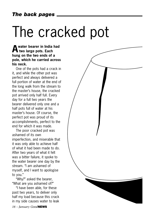# The cracked pot

**Awater bearer in India had two large pots. Each hung on the two ends of a pole, which he carried across his neck.** 

One of the pots had a crack in it, and while the other pot was perfect and always delivered a full portion of water at the end of the long walk from the stream to the master's house, the cracked pot arrived only half full. Every day for a full two years the bearer delivered only one and a half pots full of water at his master's house. Of course, the perfect pot was proud of its accomplishments, perfect to the end for which it was made.

The poor cracked pot was ashamed of its own imperfection, and miserable that it was only able to achieve half of what it had been made to do. After two years of what it felt was a bitter failure, it spoke to the water bearer one day by the stream. "I am ashamed of myself, and I want to apologise to you."

"Why?" asked the bearer, "What are you ashamed of?"

"I have been able, for these past two years, to deliver only half my load because this crack in my side causes water to leak

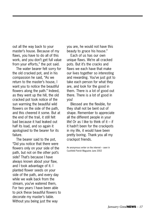out all the way back to your master's house. Because of my flaws, you have to do all of this work, and you don't get full value from your efforts," the pot said.

The water bearer felt sorry for the old cracked pot, and in his compassion he said, "As we return to the master's house, I want you to notice the beautiful flowers along the path." Indeed, as they went up the hill, the old cracked pot took notice of the sun warming the beautiful wild flowers on the side of the path, and this cheered it some. But at the end of the trail, it still felt bad because it had leaked out half its load, and so again it apologised to the bearer for its failure.

The bearer said to the pot, "Did you notice that there were flowers only on your side of the path, but not on the other pot's side? That's because I have always known about your flaw, and I took advantage of it. I planted flower seeds on your side of the path, and every day while we walk back from the stream, you've watered them, For two years I have been able to pick these beautiful flowers to decorate my master's table. Without you being just the way

you are, he would not have this beauty to grace his house."

Each of us has our own unique flaws. We're all cracked pots. But it's the cracks and flaws we each have that make our lives together so interesting and rewarding. You've just got to take each person for what they are, and look for the good in them. There is a lot of good out there. There is a lot of good in you!

Blessed are the flexible, for they shall not be bent out of shape. Remember to appreciate all the different people in your life! Or as I like to think of it – if it hadn't been for the crackpots in my life, it would have been pretty boring. Thank you all my crackpot friends.

An anonymous writer on the internet – seen in Cuckfield Parish Magazine June 2002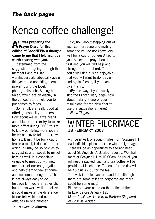# Kenco coffee challenge!

**As I was preparing the Prayer Diary for this edition of GoodNEWS a thought came to me that I felt might be worth sharing with you.** 

It stemmed from the suggestion of going through the members and regular worshippers alphabetically again this year, and upholding them in prayer, using the lovely photographs John Barling has taken, which are on display in the concourse, to help you to put names to faces.

Some folk are really good at offering hospitality to others. How about we all (if we are fit and able, of course) try to make more effort during 2003 to get to know our fellow worshippers better and invite folk to our own homes. It might be for a cup of tea or a meal, it doesn't matter which. If I may be so bold as to suggest it, and I speak to myself here as well, it is especially valuable to meet up with new members of our congregation and help them to feel at home and welcome amongst us. This is not always easy to do (especially if you are rather shy), but it is so worthwhile. I believe it could make all the difference to our fellowship and our attitudes to one another.

So, how about stepping out of your comfort zone and inviting someone you do not know very well for a cup of coffee? A key to your success – pray about it first and you will find help and strength from the Lord. You could well find it is so enjoyable that you will want to do it again and again! Please, if you can, give it a try.

(By–the–way, if you usually skip the Prayer Diary page, how about making it one of your resolutions for the New Year to use the suggestions there?)

*Fiona Tingley*

### WINTER PILGRIMAGE **1st FEBRUARY 2003**

A circular walk of about 4 miles from Scaynes Hill via Lindfield is planned for the winter pilgrimage. There will be an opportunity to see and hear about St. Augustine's Jubilee Tapestry. We shall meet at Scaynes Hill at 10.00am. As usual, you will need a packed lunch and tea/coffee will be provided at lunch time. The cost for the day will be £5 plus £2.50 for the tea.

The walk is a pleasant one and flat, although there are some stiles to negotiate and there could be some mud!

Please put your name on the notice in the hallway before January 12th.

*More details available from Barbara Shepherd or Priscilla Walden.*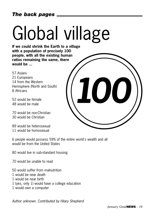#### *The back pages*

# Global village

**If we could shrink the Earth to a village with a population of precisely 100 people, with all the existing human ratios remaining the same, there would be ...**

57 Asians 21 Europeans 14 from the Western Hemisphere (North and South) 8 Africans

52 would be female 48 would be male

70 would be non-Christian 30 would be Christian

89 would be heterosexual 11 would be homosexual

6 people would possess 59% of the entire world's wealth and all would be from the United States

80 would live in sub-standard housing

70 would be unable to read

50 would suffer from malnutrition 1 would be near death 1 would be near birth 1 (yes, only 1) would have a college education 1 would own a computer

*Author unknown. Contributed by Hilary Shepherd*